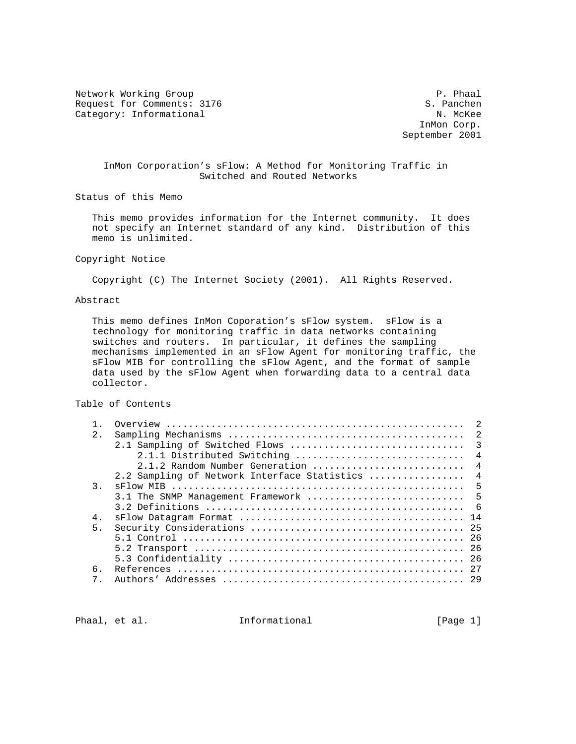Network Working Group **P. Phaal** Request for Comments: 3176 S. Panchen<br>
Category: Informational S. Panchen Category: Informational

 InMon Corp. September 2001

# InMon Corporation's sFlow: A Method for Monitoring Traffic in Switched and Routed Networks

Status of this Memo

 This memo provides information for the Internet community. It does not specify an Internet standard of any kind. Distribution of this memo is unlimited.

### Copyright Notice

Copyright (C) The Internet Society (2001). All Rights Reserved.

# Abstract

 This memo defines InMon Coporation's sFlow system. sFlow is a technology for monitoring traffic in data networks containing switches and routers. In particular, it defines the sampling mechanisms implemented in an sFlow Agent for monitoring traffic, the sFlow MIB for controlling the sFlow Agent, and the format of sample data used by the sFlow Agent when forwarding data to a central data collector.

Table of Contents

|                |                                              | -2                      |
|----------------|----------------------------------------------|-------------------------|
| $\overline{2}$ |                                              | -2                      |
|                | 2.1 Sampling of Switched Flows               | $\overline{\mathbf{3}}$ |
|                | 2.1.1 Distributed Switching                  | $\overline{4}$          |
|                | 2.1.2 Random Number Generation               | $\overline{4}$          |
|                | 2.2 Sampling of Network Interface Statistics | $\overline{4}$          |
| $\mathcal{R}$  |                                              | 5                       |
|                | 3.1 The SNMP Management Framework            | - 5                     |
|                |                                              |                         |
| $4$ .          |                                              |                         |
| 5.             |                                              | 25                      |
|                |                                              |                         |
|                |                                              |                         |
|                |                                              |                         |
| б.             |                                              |                         |
| 7              |                                              |                         |
|                |                                              |                         |

Phaal, et al. **Informational** [Page 1]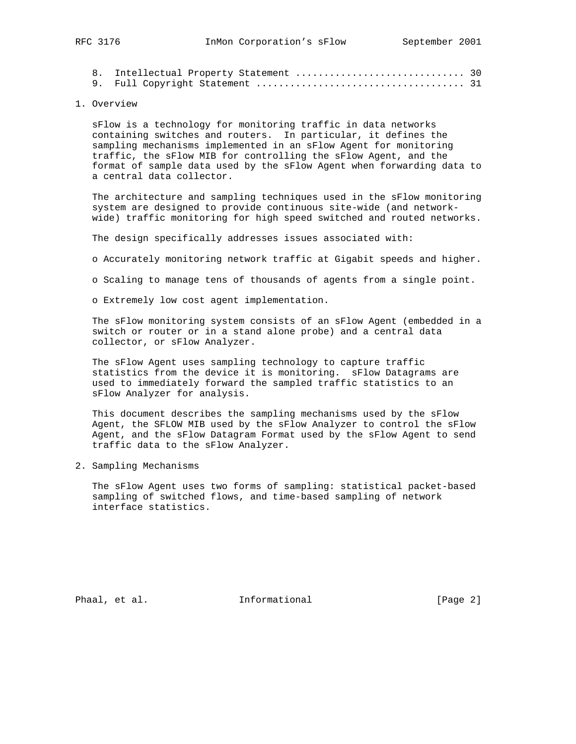#### 1. Overview

 sFlow is a technology for monitoring traffic in data networks containing switches and routers. In particular, it defines the sampling mechanisms implemented in an sFlow Agent for monitoring traffic, the sFlow MIB for controlling the sFlow Agent, and the format of sample data used by the sFlow Agent when forwarding data to a central data collector.

 The architecture and sampling techniques used in the sFlow monitoring system are designed to provide continuous site-wide (and network wide) traffic monitoring for high speed switched and routed networks.

The design specifically addresses issues associated with:

o Accurately monitoring network traffic at Gigabit speeds and higher.

o Scaling to manage tens of thousands of agents from a single point.

o Extremely low cost agent implementation.

 The sFlow monitoring system consists of an sFlow Agent (embedded in a switch or router or in a stand alone probe) and a central data collector, or sFlow Analyzer.

 The sFlow Agent uses sampling technology to capture traffic statistics from the device it is monitoring. sFlow Datagrams are used to immediately forward the sampled traffic statistics to an sFlow Analyzer for analysis.

 This document describes the sampling mechanisms used by the sFlow Agent, the SFLOW MIB used by the sFlow Analyzer to control the sFlow Agent, and the sFlow Datagram Format used by the sFlow Agent to send traffic data to the sFlow Analyzer.

2. Sampling Mechanisms

 The sFlow Agent uses two forms of sampling: statistical packet-based sampling of switched flows, and time-based sampling of network interface statistics.

Phaal, et al. 100 mm informational 100 mm informational [Page 2]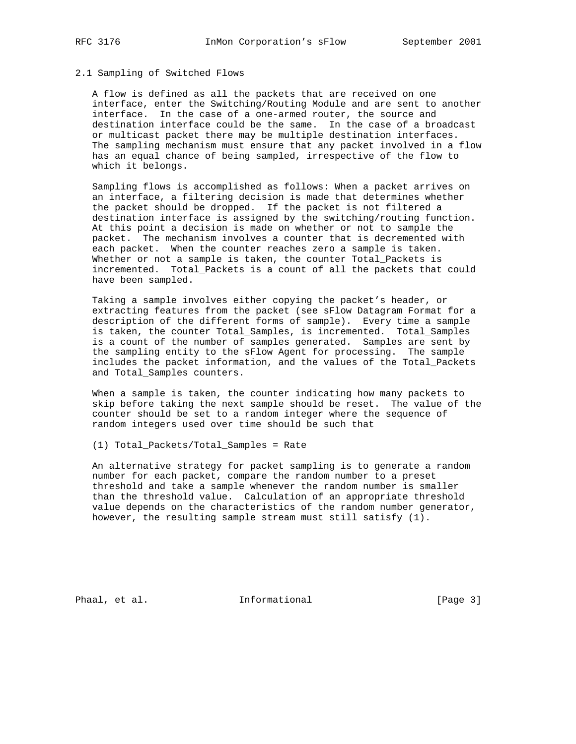# 2.1 Sampling of Switched Flows

 A flow is defined as all the packets that are received on one interface, enter the Switching/Routing Module and are sent to another interface. In the case of a one-armed router, the source and destination interface could be the same. In the case of a broadcast or multicast packet there may be multiple destination interfaces. The sampling mechanism must ensure that any packet involved in a flow has an equal chance of being sampled, irrespective of the flow to which it belongs.

 Sampling flows is accomplished as follows: When a packet arrives on an interface, a filtering decision is made that determines whether the packet should be dropped. If the packet is not filtered a destination interface is assigned by the switching/routing function. At this point a decision is made on whether or not to sample the packet. The mechanism involves a counter that is decremented with each packet. When the counter reaches zero a sample is taken. Whether or not a sample is taken, the counter Total\_Packets is incremented. Total\_Packets is a count of all the packets that could have been sampled.

 Taking a sample involves either copying the packet's header, or extracting features from the packet (see sFlow Datagram Format for a description of the different forms of sample). Every time a sample is taken, the counter Total\_Samples, is incremented. Total\_Samples is a count of the number of samples generated. Samples are sent by the sampling entity to the sFlow Agent for processing. The sample includes the packet information, and the values of the Total\_Packets and Total\_Samples counters.

 When a sample is taken, the counter indicating how many packets to skip before taking the next sample should be reset. The value of the counter should be set to a random integer where the sequence of random integers used over time should be such that

(1) Total\_Packets/Total\_Samples = Rate

 An alternative strategy for packet sampling is to generate a random number for each packet, compare the random number to a preset threshold and take a sample whenever the random number is smaller than the threshold value. Calculation of an appropriate threshold value depends on the characteristics of the random number generator, however, the resulting sample stream must still satisfy (1).

Phaal, et al. 1nformational 1999 [Page 3]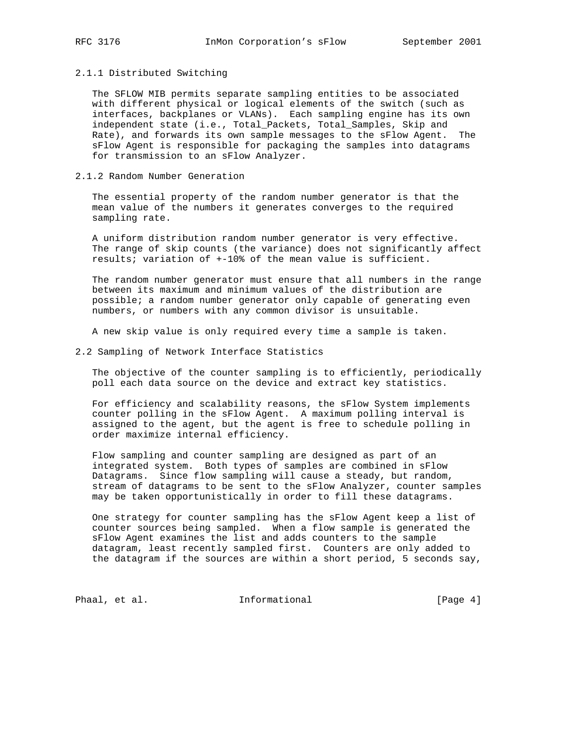#### 2.1.1 Distributed Switching

 The SFLOW MIB permits separate sampling entities to be associated with different physical or logical elements of the switch (such as interfaces, backplanes or VLANs). Each sampling engine has its own independent state (i.e., Total\_Packets, Total\_Samples, Skip and Rate), and forwards its own sample messages to the sFlow Agent. The sFlow Agent is responsible for packaging the samples into datagrams for transmission to an sFlow Analyzer.

### 2.1.2 Random Number Generation

 The essential property of the random number generator is that the mean value of the numbers it generates converges to the required sampling rate.

 A uniform distribution random number generator is very effective. The range of skip counts (the variance) does not significantly affect results; variation of +-10% of the mean value is sufficient.

 The random number generator must ensure that all numbers in the range between its maximum and minimum values of the distribution are possible; a random number generator only capable of generating even numbers, or numbers with any common divisor is unsuitable.

A new skip value is only required every time a sample is taken.

2.2 Sampling of Network Interface Statistics

 The objective of the counter sampling is to efficiently, periodically poll each data source on the device and extract key statistics.

 For efficiency and scalability reasons, the sFlow System implements counter polling in the sFlow Agent. A maximum polling interval is assigned to the agent, but the agent is free to schedule polling in order maximize internal efficiency.

 Flow sampling and counter sampling are designed as part of an integrated system. Both types of samples are combined in sFlow Datagrams. Since flow sampling will cause a steady, but random, stream of datagrams to be sent to the sFlow Analyzer, counter samples may be taken opportunistically in order to fill these datagrams.

 One strategy for counter sampling has the sFlow Agent keep a list of counter sources being sampled. When a flow sample is generated the sFlow Agent examines the list and adds counters to the sample datagram, least recently sampled first. Counters are only added to the datagram if the sources are within a short period, 5 seconds say,

Phaal, et al. 10. Informational 1. [Page 4]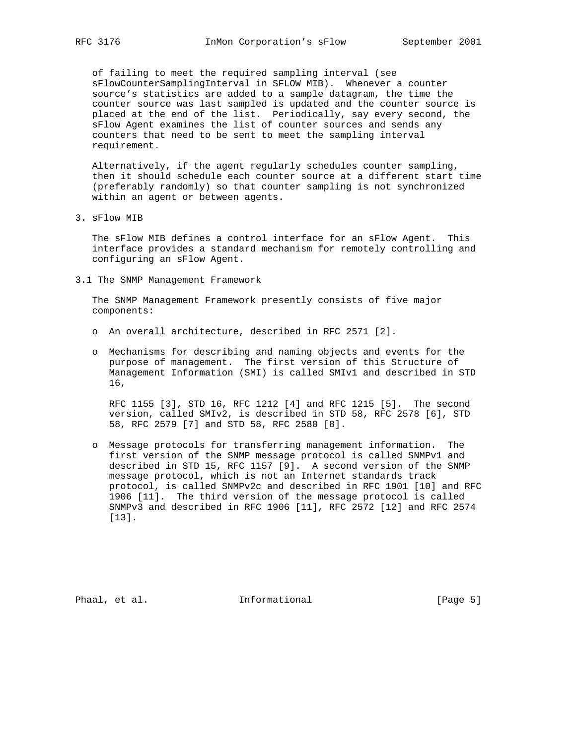of failing to meet the required sampling interval (see sFlowCounterSamplingInterval in SFLOW MIB). Whenever a counter source's statistics are added to a sample datagram, the time the counter source was last sampled is updated and the counter source is placed at the end of the list. Periodically, say every second, the sFlow Agent examines the list of counter sources and sends any counters that need to be sent to meet the sampling interval requirement.

 Alternatively, if the agent regularly schedules counter sampling, then it should schedule each counter source at a different start time (preferably randomly) so that counter sampling is not synchronized within an agent or between agents.

3. sFlow MIB

 The sFlow MIB defines a control interface for an sFlow Agent. This interface provides a standard mechanism for remotely controlling and configuring an sFlow Agent.

3.1 The SNMP Management Framework

 The SNMP Management Framework presently consists of five major components:

- o An overall architecture, described in RFC 2571 [2].
- o Mechanisms for describing and naming objects and events for the purpose of management. The first version of this Structure of Management Information (SMI) is called SMIv1 and described in STD 16,

 RFC 1155 [3], STD 16, RFC 1212 [4] and RFC 1215 [5]. The second version, called SMIv2, is described in STD 58, RFC 2578 [6], STD 58, RFC 2579 [7] and STD 58, RFC 2580 [8].

 o Message protocols for transferring management information. The first version of the SNMP message protocol is called SNMPv1 and described in STD 15, RFC 1157 [9]. A second version of the SNMP message protocol, which is not an Internet standards track protocol, is called SNMPv2c and described in RFC 1901 [10] and RFC 1906 [11]. The third version of the message protocol is called SNMPv3 and described in RFC 1906 [11], RFC 2572 [12] and RFC 2574 [13].

Phaal, et al. 10 Informational 1999 [Page 5]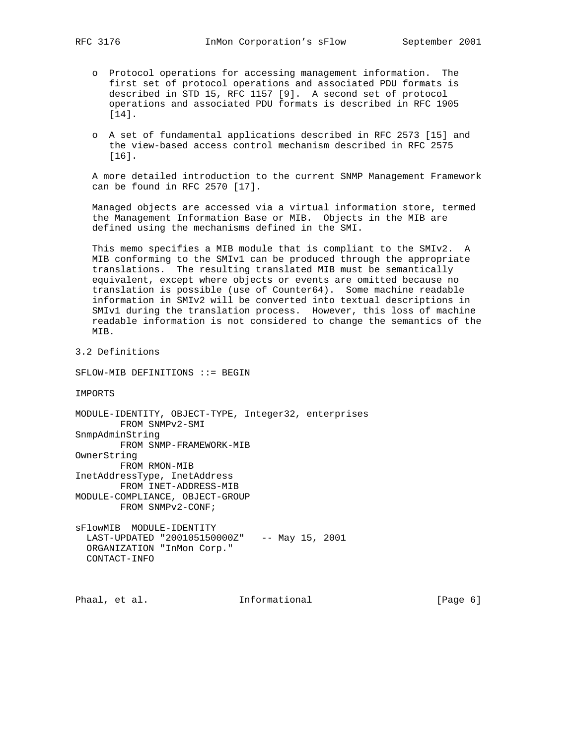- o Protocol operations for accessing management information. The first set of protocol operations and associated PDU formats is described in STD 15, RFC 1157 [9]. A second set of protocol operations and associated PDU formats is described in RFC 1905 [14].
- o A set of fundamental applications described in RFC 2573 [15] and the view-based access control mechanism described in RFC 2575 [16].

 A more detailed introduction to the current SNMP Management Framework can be found in RFC 2570 [17].

 Managed objects are accessed via a virtual information store, termed the Management Information Base or MIB. Objects in the MIB are defined using the mechanisms defined in the SMI.

 This memo specifies a MIB module that is compliant to the SMIv2. A MIB conforming to the SMIv1 can be produced through the appropriate translations. The resulting translated MIB must be semantically equivalent, except where objects or events are omitted because no translation is possible (use of Counter64). Some machine readable information in SMIv2 will be converted into textual descriptions in SMIv1 during the translation process. However, this loss of machine readable information is not considered to change the semantics of the MIB.

3.2 Definitions

SFLOW-MIB DEFINITIONS ::= BEGIN

IMPORTS

MODULE-IDENTITY, OBJECT-TYPE, Integer32, enterprises FROM SNMPv2-SMI SnmpAdminString FROM SNMP-FRAMEWORK-MIB OwnerString FROM RMON-MIB InetAddressType, InetAddress FROM INET-ADDRESS-MIB MODULE-COMPLIANCE, OBJECT-GROUP FROM SNMPv2-CONF; sFlowMIB MODULE-IDENTITY LAST-UPDATED "200105150000Z" -- May 15, 2001 ORGANIZATION "InMon Corp."

CONTACT-INFO

Phaal, et al. 10 Informational 100 minutional [Page 6]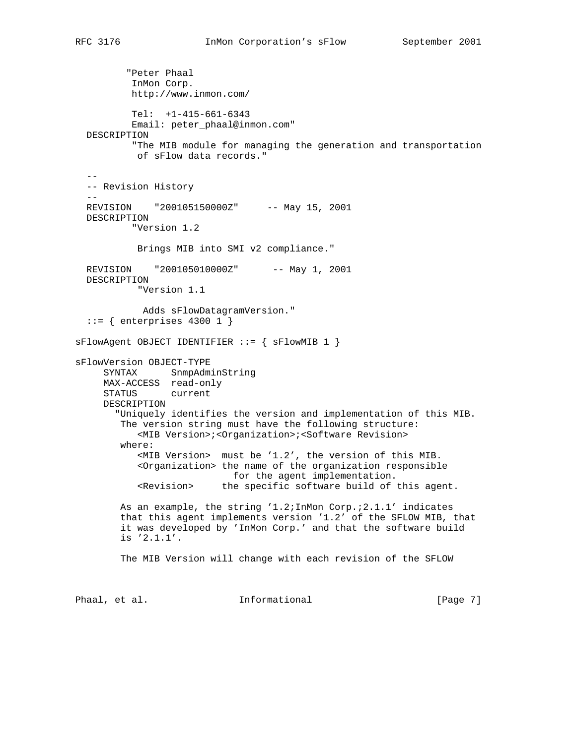"Peter Phaal InMon Corp. http://www.inmon.com/ Tel: +1-415-661-6343 Email: peter\_phaal@inmon.com" DESCRIPTION "The MIB module for managing the generation and transportation of sFlow data records."  $-$  -- Revision History  $-$  REVISION "200105150000Z" -- May 15, 2001 DESCRIPTION "Version 1.2 Brings MIB into SMI v2 compliance." REVISION "200105010000Z" -- May 1, 2001 DESCRIPTION "Version 1.1 Adds sFlowDatagramVersion."  $::=$  { enterprises 4300 1 } sFlowAgent OBJECT IDENTIFIER ::= { sFlowMIB 1 } sFlowVersion OBJECT-TYPE SYNTAX SnmpAdminString MAX-ACCESS read-only STATUS current DESCRIPTION "Uniquely identifies the version and implementation of this MIB. The version string must have the following structure: <MIB Version>;<Organization>;<Software Revision> where: <MIB Version> must be '1.2', the version of this MIB. <Organization> the name of the organization responsible for the agent implementation. <Revision> the specific software build of this agent. As an example, the string '1.2;InMon Corp.;2.1.1' indicates that this agent implements version '1.2' of the SFLOW MIB, that it was developed by 'InMon Corp.' and that the software build is '2.1.1'. The MIB Version will change with each revision of the SFLOW Phaal, et al. **Informational** [Page 7]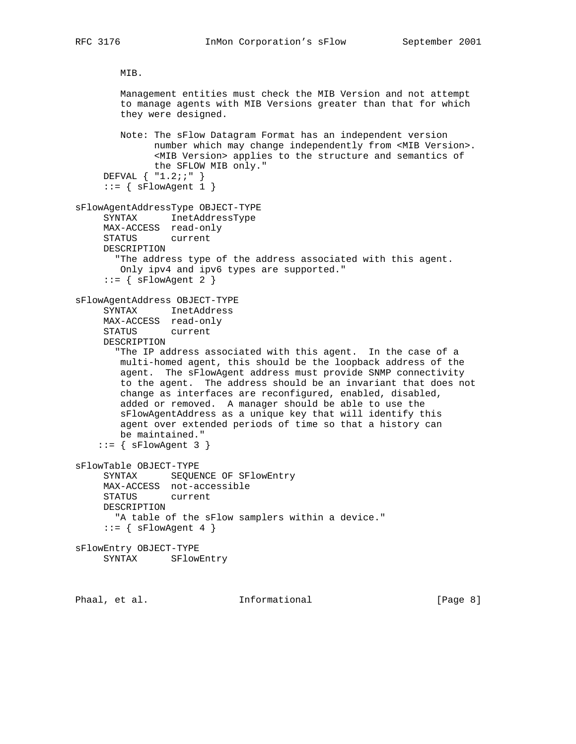```
 MIB.
```
 Management entities must check the MIB Version and not attempt to manage agents with MIB Versions greater than that for which they were designed. Note: The sFlow Datagram Format has an independent version number which may change independently from <MIB Version>. <MIB Version> applies to the structure and semantics of the SFLOW MIB only." DEFVAL { "1.2;;" }  $::=$  {  $sFlowAgent 1$  } sFlowAgentAddressType OBJECT-TYPE SYNTAX InetAddressType MAX-ACCESS read-only STATUS current DESCRIPTION "The address type of the address associated with this agent. Only ipv4 and ipv6 types are supported."  $::=$  { sFlowAgent 2 } sFlowAgentAddress OBJECT-TYPE SYNTAX InetAddress MAX-ACCESS read-only STATUS current DESCRIPTION "The IP address associated with this agent. In the case of a multi-homed agent, this should be the loopback address of the agent. The sFlowAgent address must provide SNMP connectivity to the agent. The address should be an invariant that does not change as interfaces are reconfigured, enabled, disabled, added or removed. A manager should be able to use the sFlowAgentAddress as a unique key that will identify this agent over extended periods of time so that a history can be maintained."  $::=$  { sFlowAgent 3 } sFlowTable OBJECT-TYPE SYNTAX SEQUENCE OF SFlowEntry MAX-ACCESS not-accessible STATUS current DESCRIPTION "A table of the sFlow samplers within a device."  $::=$  { sFlowAgent 4 } sFlowEntry OBJECT-TYPE SYNTAX SFlowEntry

Phaal, et al. **Informational** [Page 8]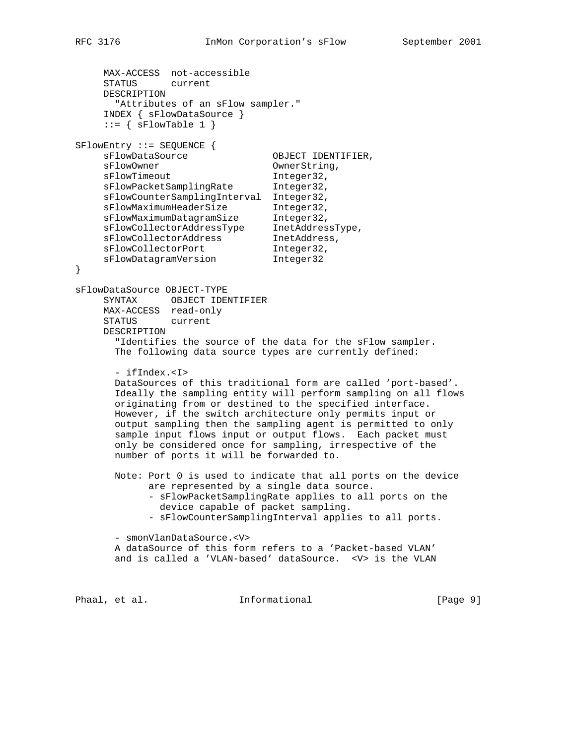```
 MAX-ACCESS not-accessible
     STATUS current
     DESCRIPTION
       "Attributes of an sFlow sampler."
     INDEX { sFlowDataSource }
    ::= { sFlowTable 1 }
SFlowEntry ::= SEQUENCE {
    sFlowDataSource OBJECT IDENTIFIER,
    sFlowOwner CwnerString,
sFlowTimeout 1nteger32,
 sFlowPacketSamplingRate Integer32,
     sFlowCounterSamplingInterval Integer32,
 sFlowMaximumHeaderSize Integer32,
 sFlowMaximumDatagramSize Integer32,
 sFlowCollectorAddressType InetAddressType,
sFlowCollectorAddress InetAddress,
sFlowCollectorPort 1nteger32,
 sFlowDatagramVersion Integer32
}
sFlowDataSource OBJECT-TYPE
     SYNTAX OBJECT IDENTIFIER
     MAX-ACCESS read-only
     STATUS current
     DESCRIPTION
       "Identifies the source of the data for the sFlow sampler.
       The following data source types are currently defined:
       - ifIndex.<I>
       DataSources of this traditional form are called 'port-based'.
       Ideally the sampling entity will perform sampling on all flows
       originating from or destined to the specified interface.
       However, if the switch architecture only permits input or
       output sampling then the sampling agent is permitted to only
       sample input flows input or output flows. Each packet must
       only be considered once for sampling, irrespective of the
       number of ports it will be forwarded to.
       Note: Port 0 is used to indicate that all ports on the device
            are represented by a single data source.
            - sFlowPacketSamplingRate applies to all ports on the
              device capable of packet sampling.
             - sFlowCounterSamplingInterval applies to all ports.
       - smonVlanDataSource.<V>
       A dataSource of this form refers to a 'Packet-based VLAN'
       and is called a 'VLAN-based' dataSource. <V> is the VLAN
Phaal, et al. I_n Informational [Page 9]
```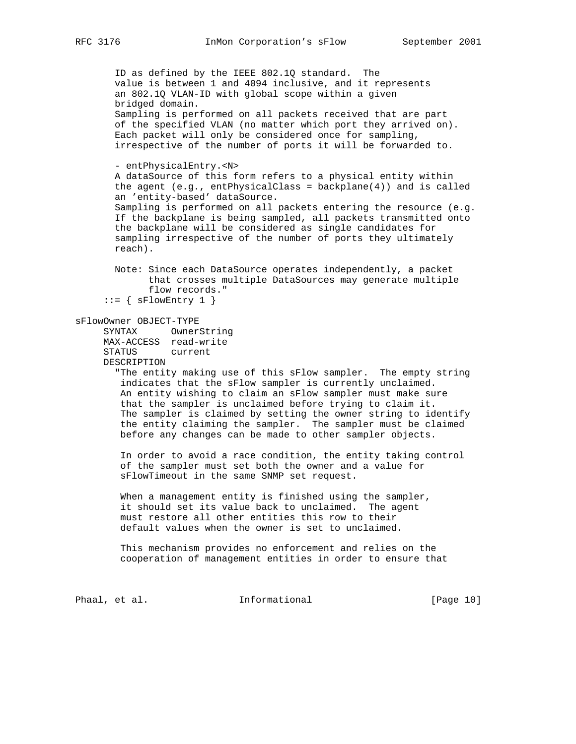ID as defined by the IEEE 802.1Q standard. The value is between 1 and 4094 inclusive, and it represents an 802.1Q VLAN-ID with global scope within a given bridged domain. Sampling is performed on all packets received that are part of the specified VLAN (no matter which port they arrived on). Each packet will only be considered once for sampling, irrespective of the number of ports it will be forwarded to. - entPhysicalEntry.<N> A dataSource of this form refers to a physical entity within the agent  $(e.g., entPhysicalClass = backplane(4))$  and is called an 'entity-based' dataSource. Sampling is performed on all packets entering the resource (e.g. If the backplane is being sampled, all packets transmitted onto the backplane will be considered as single candidates for sampling irrespective of the number of ports they ultimately reach). Note: Since each DataSource operates independently, a packet that crosses multiple DataSources may generate multiple flow records."  $::=$  {  $sFlowEntry 1$  } sFlowOwner OBJECT-TYPE SYNTAX OwnerString MAX-ACCESS read-write STATUS current DESCRIPTION "The entity making use of this sFlow sampler. The empty string indicates that the sFlow sampler is currently unclaimed. An entity wishing to claim an sFlow sampler must make sure that the sampler is unclaimed before trying to claim it. The sampler is claimed by setting the owner string to identify the entity claiming the sampler. The sampler must be claimed before any changes can be made to other sampler objects. In order to avoid a race condition, the entity taking control of the sampler must set both the owner and a value for sFlowTimeout in the same SNMP set request. When a management entity is finished using the sampler, it should set its value back to unclaimed. The agent must restore all other entities this row to their default values when the owner is set to unclaimed. This mechanism provides no enforcement and relies on the cooperation of management entities in order to ensure that

Phaal, et al. 10 Informational 10 [Page 10]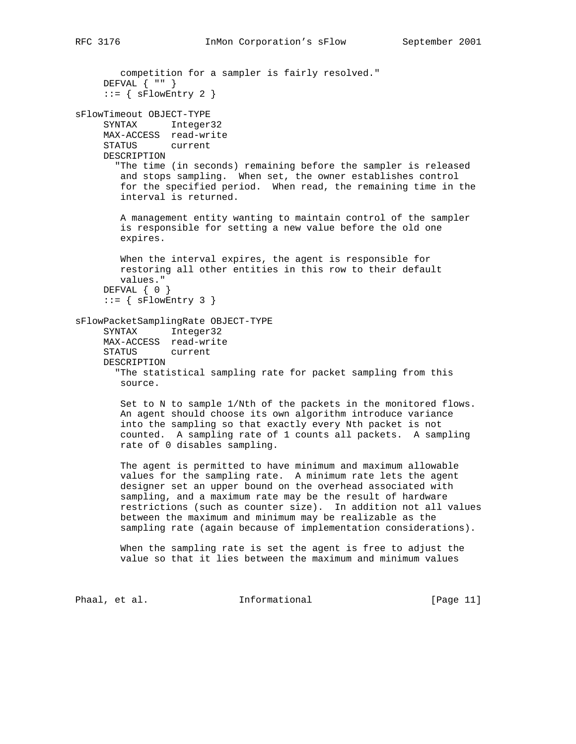```
 competition for a sampler is fairly resolved."
     DEFVAL { "" }
     ::= { sFlowEntry 2 }
sFlowTimeout OBJECT-TYPE
     SYNTAX Integer32
     MAX-ACCESS read-write
     STATUS current
     DESCRIPTION
        "The time (in seconds) remaining before the sampler is released
        and stops sampling. When set, the owner establishes control
        for the specified period. When read, the remaining time in the
        interval is returned.
        A management entity wanting to maintain control of the sampler
        is responsible for setting a new value before the old one
        expires.
        When the interval expires, the agent is responsible for
        restoring all other entities in this row to their default
        values."
     DEFVAL { 0 }
     ::= { sFlowEntry 3 }
sFlowPacketSamplingRate OBJECT-TYPE
 SYNTAX Integer32
 MAX-ACCESS read-write
      STATUS current
     DESCRIPTION
        "The statistical sampling rate for packet sampling from this
        source.
        Set to N to sample 1/Nth of the packets in the monitored flows.
        An agent should choose its own algorithm introduce variance
        into the sampling so that exactly every Nth packet is not
        counted. A sampling rate of 1 counts all packets. A sampling
        rate of 0 disables sampling.
        The agent is permitted to have minimum and maximum allowable
        values for the sampling rate. A minimum rate lets the agent
        designer set an upper bound on the overhead associated with
        sampling, and a maximum rate may be the result of hardware
        restrictions (such as counter size). In addition not all values
        between the maximum and minimum may be realizable as the
        sampling rate (again because of implementation considerations).
        When the sampling rate is set the agent is free to adjust the
        value so that it lies between the maximum and minimum values
```
Phaal, et al. 10. Informational 1. [Page 11]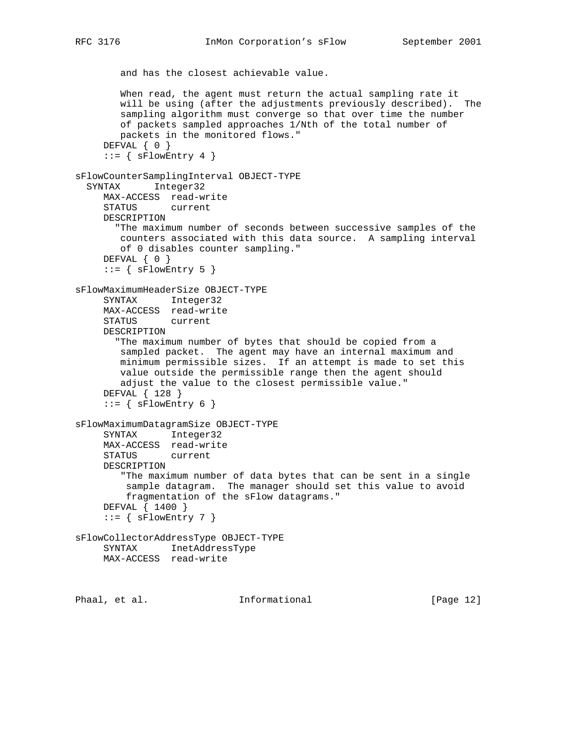```
 and has the closest achievable value.
        When read, the agent must return the actual sampling rate it
        will be using (after the adjustments previously described). The
        sampling algorithm must converge so that over time the number
        of packets sampled approaches 1/Nth of the total number of
        packets in the monitored flows."
    DEFVAL \{ 0 \}::= { sFlowEntry 4 }
sFlowCounterSamplingInterval OBJECT-TYPE
   SYNTAX Integer32
     MAX-ACCESS read-write
     STATUS current
     DESCRIPTION
        "The maximum number of seconds between successive samples of the
        counters associated with this data source. A sampling interval
        of 0 disables counter sampling."
     DEFVAL { 0 }
     ::= { sFlowEntry 5 }
sFlowMaximumHeaderSize OBJECT-TYPE
     SYNTAX Integer32
     MAX-ACCESS read-write
     STATUS current
     DESCRIPTION
        "The maximum number of bytes that should be copied from a
        sampled packet. The agent may have an internal maximum and
        minimum permissible sizes. If an attempt is made to set this
        value outside the permissible range then the agent should
        adjust the value to the closest permissible value."
      DEFVAL { 128 }
     ::= { sFlowEntry 6 }
sFlowMaximumDatagramSize OBJECT-TYPE
     SYNTAX Integer32
     MAX-ACCESS read-write
     STATUS current
     DESCRIPTION
         "The maximum number of data bytes that can be sent in a single
         sample datagram. The manager should set this value to avoid
         fragmentation of the sFlow datagrams."
     DEFVAL { 1400 }
     ::= { sFlowEntry 7 }
sFlowCollectorAddressType OBJECT-TYPE
     SYNTAX InetAddressType
     MAX-ACCESS read-write
```
Phaal, et al. **Informational** [Page 12]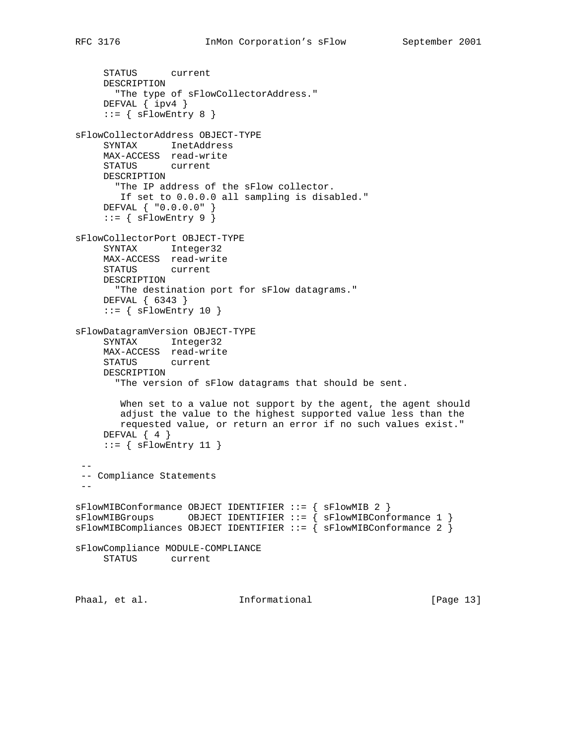```
 STATUS current
     DESCRIPTION
       "The type of sFlowCollectorAddress."
     DEFVAL { ipv4 }
    ::= { sFlowEntry 8 }
sFlowCollectorAddress OBJECT-TYPE
     SYNTAX InetAddress
     MAX-ACCESS read-write
     STATUS current
     DESCRIPTION
       "The IP address of the sFlow collector.
       If set to 0.0.0.0 all sampling is disabled."
     DEFVAL { "0.0.0.0" }
    ::= { sFlowEntry 9 }
sFlowCollectorPort OBJECT-TYPE
     SYNTAX Integer32
     MAX-ACCESS read-write
     STATUS current
     DESCRIPTION
       "The destination port for sFlow datagrams."
     DEFVAL { 6343 }
    ::= { sFlowEntry 10 }
sFlowDatagramVersion OBJECT-TYPE
 SYNTAX Integer32
 MAX-ACCESS read-write
     STATUS current
     DESCRIPTION
       "The version of sFlow datagrams that should be sent.
       When set to a value not support by the agent, the agent should
        adjust the value to the highest supported value less than the
        requested value, or return an error if no such values exist."
    DEFVAL { 4 }
    ::= { sFlowEntry 11 }
 --
 -- Compliance Statements
- -sFlowMIBConformance OBJECT IDENTIFIER ::= { sFlowMIB 2 }
sFlowMIBGroups OBJECT IDENTIFIER ::= { sFlowMIBConformance 1 }
sFlowMIBCompliances OBJECT IDENTIFIER ::= { sFlowMIBConformance 2 }
sFlowCompliance MODULE-COMPLIANCE
     STATUS current
Phaal, et al. 10. Informational 1. [Page 13]
```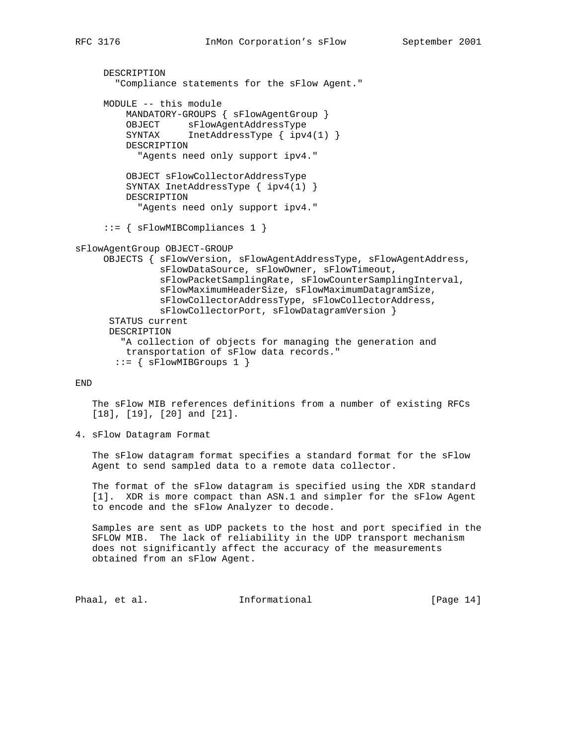```
 DESCRIPTION
        "Compliance statements for the sFlow Agent."
      MODULE -- this module
          MANDATORY-GROUPS { sFlowAgentGroup }
          OBJECT sFlowAgentAddressType
          SYNTAX InetAddressType { ipv4(1) }
          DESCRIPTION
            "Agents need only support ipv4."
          OBJECT sFlowCollectorAddressType
          SYNTAX InetAddressType { ipv4(1) }
          DESCRIPTION
            "Agents need only support ipv4."
      ::= { sFlowMIBCompliances 1 }
sFlowAgentGroup OBJECT-GROUP
      OBJECTS { sFlowVersion, sFlowAgentAddressType, sFlowAgentAddress,
                sFlowDataSource, sFlowOwner, sFlowTimeout,
                sFlowPacketSamplingRate, sFlowCounterSamplingInterval,
                sFlowMaximumHeaderSize, sFlowMaximumDatagramSize,
                sFlowCollectorAddressType, sFlowCollectorAddress,
                sFlowCollectorPort, sFlowDatagramVersion }
       STATUS current
       DESCRIPTION
         "A collection of objects for managing the generation and
         transportation of sFlow data records."
```

```
::= { sFlowMIBGroups 1 }
```
END

 The sFlow MIB references definitions from a number of existing RFCs [18], [19], [20] and [21].

4. sFlow Datagram Format

 The sFlow datagram format specifies a standard format for the sFlow Agent to send sampled data to a remote data collector.

 The format of the sFlow datagram is specified using the XDR standard [1]. XDR is more compact than ASN.1 and simpler for the sFlow Agent to encode and the sFlow Analyzer to decode.

 Samples are sent as UDP packets to the host and port specified in the SFLOW MIB. The lack of reliability in the UDP transport mechanism does not significantly affect the accuracy of the measurements obtained from an sFlow Agent.

Phaal, et al. 10. Informational 1. [Page 14]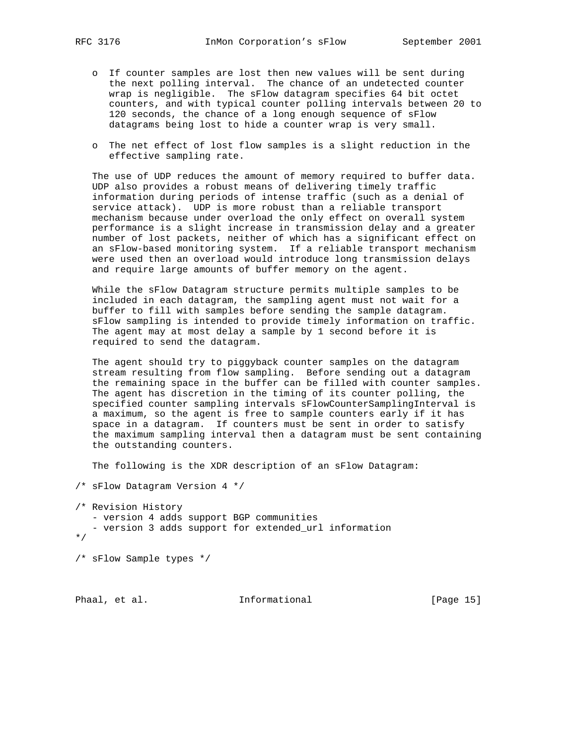- o If counter samples are lost then new values will be sent during the next polling interval. The chance of an undetected counter wrap is negligible. The sFlow datagram specifies 64 bit octet counters, and with typical counter polling intervals between 20 to 120 seconds, the chance of a long enough sequence of sFlow datagrams being lost to hide a counter wrap is very small.
- o The net effect of lost flow samples is a slight reduction in the effective sampling rate.

 The use of UDP reduces the amount of memory required to buffer data. UDP also provides a robust means of delivering timely traffic information during periods of intense traffic (such as a denial of service attack). UDP is more robust than a reliable transport mechanism because under overload the only effect on overall system performance is a slight increase in transmission delay and a greater number of lost packets, neither of which has a significant effect on an sFlow-based monitoring system. If a reliable transport mechanism were used then an overload would introduce long transmission delays and require large amounts of buffer memory on the agent.

 While the sFlow Datagram structure permits multiple samples to be included in each datagram, the sampling agent must not wait for a buffer to fill with samples before sending the sample datagram. sFlow sampling is intended to provide timely information on traffic. The agent may at most delay a sample by 1 second before it is required to send the datagram.

 The agent should try to piggyback counter samples on the datagram stream resulting from flow sampling. Before sending out a datagram the remaining space in the buffer can be filled with counter samples. The agent has discretion in the timing of its counter polling, the specified counter sampling intervals sFlowCounterSamplingInterval is a maximum, so the agent is free to sample counters early if it has space in a datagram. If counters must be sent in order to satisfy the maximum sampling interval then a datagram must be sent containing the outstanding counters.

The following is the XDR description of an sFlow Datagram:

/\* sFlow Datagram Version 4 \*/

/\* Revision History - version 4 adds support BGP communities - version 3 adds support for extended\_url information \*/

/\* sFlow Sample types \*/

Phaal, et al. 10. Informational 1. [Page 15]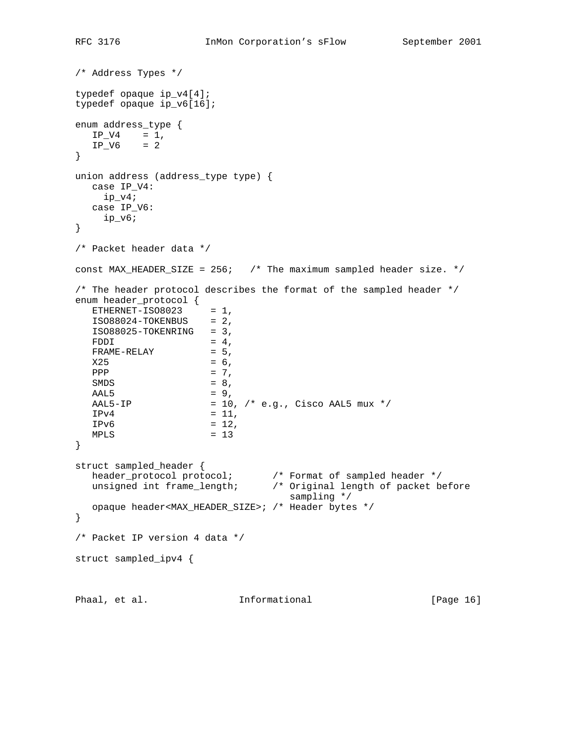```
/* Address Types */
typedef opaque ip_v4[4];
typedef opaque ip_v6[16];
enum address_type {
 IP_V4 = 1,
  IP_V6 = 2}
union address (address_type type) {
  case IP_V4:
    ip_v4;
  case IP_V6:
    ip_v6;
}
/* Packet header data */
const MAX_HEADER_SIZE = 256; /* The maximum sampled header size. */
/* The header protocol describes the format of the sampled header */
enum header_protocol {
ETHERNET-ISO8023 = 1,ISO8024-TOKENBUS = <math>2</math>,ISO88025-TOKENRING = 3,FDDI = 4,
  FRAME-RELAY = 5,
  X25 = 6,PPP = 7,
SMDS = 8,
AAL5 = 9,
  AAL5-IP = 10, \frac{\times}{2} e.g., Cisco AAL5 mux \frac{\times}{2}IPv4 = 11,IPv6 = 12,<br>
MPLS = 13MPLS}
struct sampled_header {
header_protocol protocol; \qquad /* Format of sampled header */
 unsigned int frame_length; /* Original length of packet before
                                 sampling */
   opaque header<MAX_HEADER_SIZE>; /* Header bytes */
}
/* Packet IP version 4 data */
struct sampled_ipv4 {
Phaal, et al. 10 Informational 1999 [Page 16]
```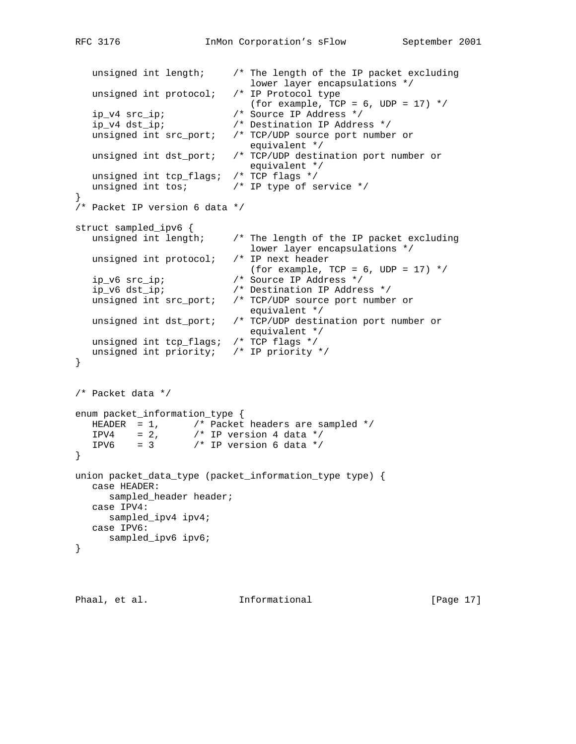```
 unsigned int length; /* The length of the IP packet excluding
                            lower layer encapsulations */<br>/* IP Protocol type
   unsigned int protocol;
                            (for example, TCP = 6, UDP = 17) */
    ip_v4 src_ip; /* Source IP Address */
    ip_v4 dst_ip; /* Destination IP Address */
   unsigned int src_port; /* TCP/UDP source port number or
                               equivalent */
   unsigned int dst_port; /* TCP/UDP destination port number or
                              equivalent */
   unsigned int tcp_flags; /* TCP flags */
  unsigned int tos; \frac{1}{2} /* IP type of service */
}
/* Packet IP version 6 data */
struct sampled_ipv6 {
   unsigned int length; /* The length of the IP packet excluding
                               lower layer encapsulations */
   unsigned int protocol; /* IP next header
                              (for example, TCP = 6, UDP = 17) */
   ip_v6 src_ip; <br>ip_v6 dst_ip; <br>/* Destination IP Addres
                           /* Destination IP Address */
   unsigned int src_port; /* TCP/UDP source port number or
  equivalent */<br>unsigned int dst_port; /* TCP/UDP destin
                           /* TCP/UDP destination port number or
                               equivalent */
   unsigned int tcp_flags; /* TCP flags */
   unsigned int priority; /* IP priority */
}
/* Packet data */
enum packet_information_type {
 HEADER = 1, /* Packet headers are sampled */
IPV4 = 2, \frac{1}{2} /* IP version 4 data */
IPV6 = 3 /* IP version 6 data */}
union packet_data_type (packet_information_type type) {
   case HEADER:
      sampled_header header;
   case IPV4:
     sampled_ipv4 ipv4;
   case IPV6:
      sampled_ipv6 ipv6;
}
```
Phaal, et al. **Informational** [Page 17]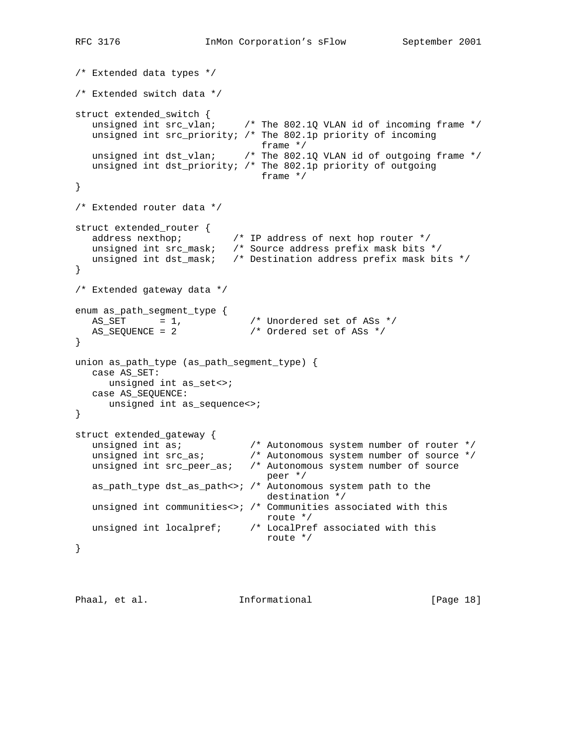```
/* Extended data types */
/* Extended switch data */
struct extended_switch {
  unsigned int src\_vlan; /* The 802.1Q VLAN id of incoming frame */
   unsigned int src_priority; /* The 802.1p priority of incoming
 frame */
 unsigned int dst_vlan; /* The 802.1Q VLAN id of outgoing frame */
   unsigned int dst_priority; /* The 802.1p priority of outgoing
                             frame */
}
/* Extended router data */
struct extended_router {
 address nexthop; /* IP address of next hop router */
 unsigned int src_mask; /* Source address prefix mask bits */
   unsigned int dst_mask; /* Destination address prefix mask bits */
}
/* Extended gateway data */
enum as_path_segment_type {
\text{AS\_SET} = 1, \text{/*} Unordered set of ASs \text{*/}AS_SEQUENCE = 2 \frac{1}{2} /* Ordered set of ASs */
}
union as_path_type (as_path_segment_type) {
  case AS_SET:
    unsigned int as_set<>;
   case AS_SEQUENCE:
     unsigned int as_sequence<>;
}
struct extended_gateway {
 unsigned int as; /* Autonomous system number of router */
 unsigned int src_as; /* Autonomous system number of source */
 unsigned int src_peer_as; /* Autonomous system number of source
 peer */
   as_path_type dst_as_path<>; /* Autonomous system path to the
                               destination */
   unsigned int communities<>; /* Communities associated with this
 route */
 unsigned int localpref; /* LocalPref associated with this
                               route */
}
```

```
Phaal, et al. 10. Informational 1. [Page 18]
```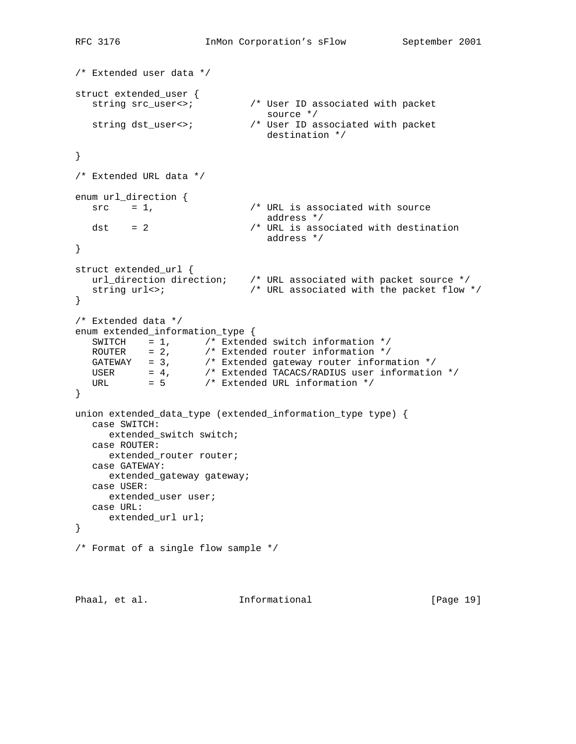```
RFC 3176 InMon Corporation's sFlow September 2001
/* Extended user data */
struct extended_user {
  string src_user<>; \overrightarrow{ } /* User ID associated with packet source */
source */
 string dst_user<>; /* User ID associated with packet
                               destination */
}
/* Extended URL data */
enum url_direction {
 src = 1, /* URL is associated with source
  dst = 2 \frac{1}{x} address */<br>dst = 2 \frac{1}{x} URL is asset
                           /* URL is associated with destination
                               address */
}
struct extended_url {
 url_direction direction; /* URL associated with packet source */
 string url<>; /* URL associated with the packet flow */
}
/* Extended data */
enum extended_information_type {
SWITCH = 1, / * Extended switch information * /ROUTER = 2, \frac{1}{2} Extended router information \frac{*}{2} GATEWAY = 3, /* Extended gateway router information */
 USER = 4, /* Extended TACACS/RADIUS user information */
URL = 5 /* Extended URL information */
}
union extended_data_type (extended_information_type type) {
   case SWITCH:
     extended_switch switch;
   case ROUTER:
     extended_router router;
   case GATEWAY:
      extended_gateway gateway;
   case USER:
     extended_user user;
   case URL:
    extended_url url;
}
/* Format of a single flow sample */
```

```
Phaal, et al. 10. Informational 1. [Page 19]
```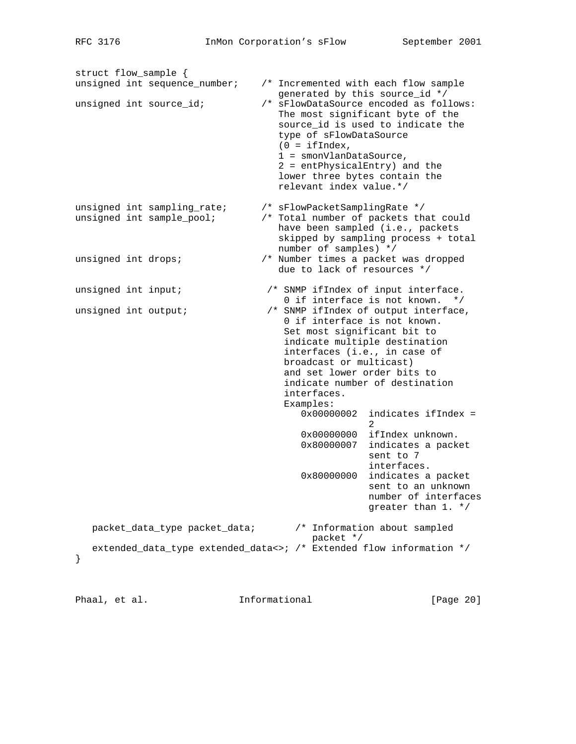struct flow\_sample { unsigned int sequence\_number; /\* Incremented with each flow sample generated by this source\_id \*/ unsigned int source\_id; /\* sFlowDataSource encoded as follows: The most significant byte of the source\_id is used to indicate the type of sFlowDataSource  $(0 = ifIndex,$  1 = smonVlanDataSource, 2 = entPhysicalEntry) and the lower three bytes contain the relevant index value.\*/ unsigned int sampling\_rate; /\* sFlowPacketSamplingRate \*/ unsigned int sample\_pool; /\* Total number of packets that could have been sampled (i.e., packets skipped by sampling process + total number of samples) \*/ unsigned int drops;  $\frac{1}{10}$  /\* Number times a packet was dropped due to lack of resources \*/ unsigned int input; /\* SNMP ifIndex of input interface. 0 if interface is not known. \*/ unsigned int output;  $\overline{a}$  /\* SNMP ifIndex of output interface, 0 if interface is not known. Set most significant bit to indicate multiple destination interfaces (i.e., in case of broadcast or multicast) and set lower order bits to indicate number of destination interfaces. Examples: 0x00000002 indicates ifIndex = 2 0x00000000 ifIndex unknown. 0x80000007 indicates a packet sent to 7 interfaces. 0x80000000 indicates a packet sent to an unknown number of interfaces greater than 1. \*/ packet\_data\_type packet\_data; /\* Information about sampled packet \*/ extended\_data\_type extended\_data<>; /\* Extended flow information \*/ }

Phaal, et al. 10. Informational 1. [Page 20]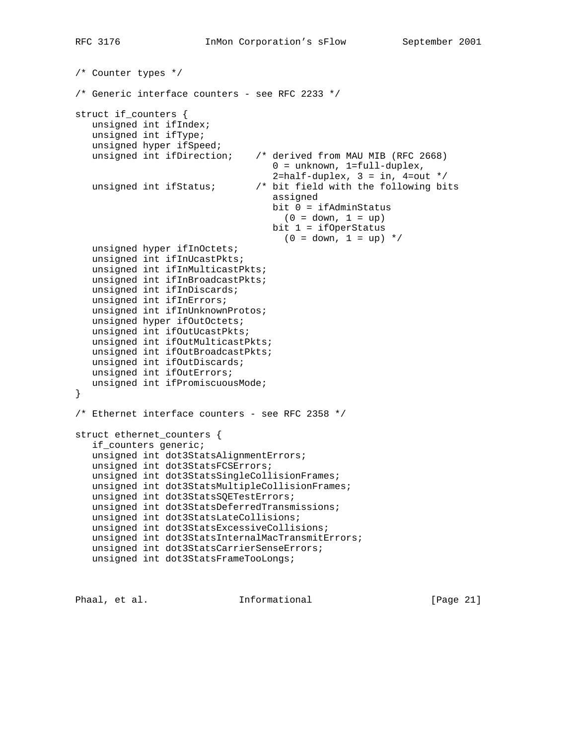```
/* Counter types */
/* Generic interface counters - see RFC 2233 */
struct if_counters {
   unsigned int ifIndex;
   unsigned int ifType;
   unsigned hyper ifSpeed;
   unsigned int ifDirection; /* derived from MAU MIB (RFC 2668)
                                     0 = unknown, 1=full-duplex,
                                    2=half-duplex, 3 = in, 4=out */
   unsigned int ifStatus; /* bit field with the following bits
                                     assigned
                                    bit 0 = ifAdminStatus
                                     (0 = down, 1 = up) bit 1 = ifOperStatus
                                     (0 = down, 1 = up) */
   unsigned hyper ifInOctets;
   unsigned int ifInUcastPkts;
   unsigned int ifInMulticastPkts;
   unsigned int ifInBroadcastPkts;
   unsigned int ifInDiscards;
   unsigned int ifInErrors;
   unsigned int ifInUnknownProtos;
   unsigned hyper ifOutOctets;
   unsigned int ifOutUcastPkts;
   unsigned int ifOutMulticastPkts;
   unsigned int ifOutBroadcastPkts;
   unsigned int ifOutDiscards;
   unsigned int ifOutErrors;
   unsigned int ifPromiscuousMode;
}
/* Ethernet interface counters - see RFC 2358 */
struct ethernet_counters {
    if_counters generic;
    unsigned int dot3StatsAlignmentErrors;
    unsigned int dot3StatsFCSErrors;
   unsigned int dot3StatsSingleCollisionFrames;
   unsigned int dot3StatsMultipleCollisionFrames;
   unsigned int dot3StatsSQETestErrors;
   unsigned int dot3StatsDeferredTransmissions;
   unsigned int dot3StatsLateCollisions;
   unsigned int dot3StatsExcessiveCollisions;
   unsigned int dot3StatsInternalMacTransmitErrors;
   unsigned int dot3StatsCarrierSenseErrors;
   unsigned int dot3StatsFrameTooLongs;
```
Phaal, et al. **Informational** [Page 21]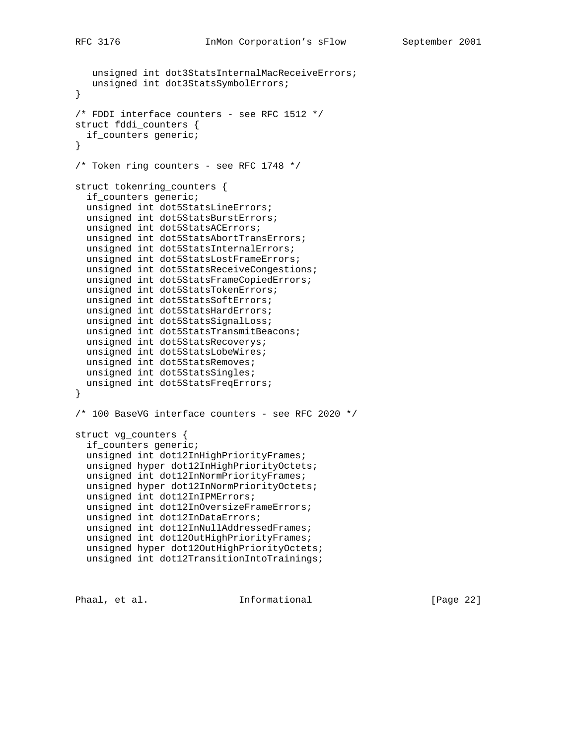```
 unsigned int dot3StatsInternalMacReceiveErrors;
   unsigned int dot3StatsSymbolErrors;
}
/* FDDI interface counters - see RFC 1512 */
struct fddi_counters {
   if_counters generic;
}
/* Token ring counters - see RFC 1748 */struct tokenring_counters {
   if_counters generic;
   unsigned int dot5StatsLineErrors;
   unsigned int dot5StatsBurstErrors;
   unsigned int dot5StatsACErrors;
  unsigned int dot5StatsAbortTransErrors;
  unsigned int dot5StatsInternalErrors;
  unsigned int dot5StatsLostFrameErrors;
  unsigned int dot5StatsReceiveCongestions;
  unsigned int dot5StatsFrameCopiedErrors;
  unsigned int dot5StatsTokenErrors;
  unsigned int dot5StatsSoftErrors;
  unsigned int dot5StatsHardErrors;
  unsigned int dot5StatsSignalLoss;
  unsigned int dot5StatsTransmitBeacons;
  unsigned int dot5StatsRecoverys;
  unsigned int dot5StatsLobeWires;
  unsigned int dot5StatsRemoves;
  unsigned int dot5StatsSingles;
  unsigned int dot5StatsFreqErrors;
}
/* 100 BaseVG interface counters - see RFC 2020 */
struct vg_counters {
   if_counters generic;
   unsigned int dot12InHighPriorityFrames;
   unsigned hyper dot12InHighPriorityOctets;
   unsigned int dot12InNormPriorityFrames;
   unsigned hyper dot12InNormPriorityOctets;
  unsigned int dot12InIPMErrors;
  unsigned int dot12InOversizeFrameErrors;
  unsigned int dot12InDataErrors;
  unsigned int dot12InNullAddressedFrames;
  unsigned int dot12OutHighPriorityFrames;
  unsigned hyper dot12OutHighPriorityOctets;
  unsigned int dot12TransitionIntoTrainings;
```
Phaal, et al. 10 Informational 1999 [Page 22]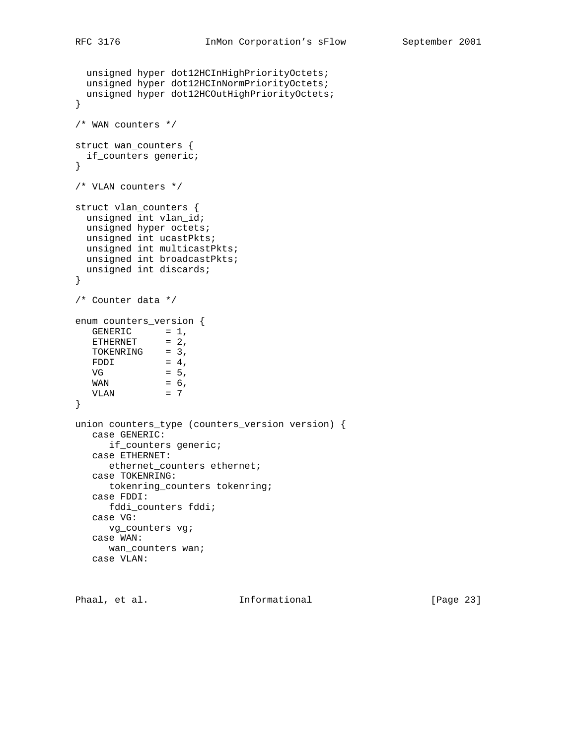```
 unsigned hyper dot12HCInHighPriorityOctets;
  unsigned hyper dot12HCInNormPriorityOctets;
  unsigned hyper dot12HCOutHighPriorityOctets;
}
/* WAN counters */
struct wan_counters {
 if_counters generic;
}
/* VLAN counters */
struct vlan_counters {
  unsigned int vlan_id;
  unsigned hyper octets;
  unsigned int ucastPkts;
  unsigned int multicastPkts;
  unsigned int broadcastPkts;
  unsigned int discards;
}
/* Counter data */
enum counters_version {
GENERIC = 1,ETHERNET = 2,
TOKENRING = 3,
FDDI = 4,
VG = 5,WAN = 6,VLAN = 7
}
union counters_type (counters_version version) {
   case GENERIC:
     if_counters generic;
   case ETHERNET:
      ethernet_counters ethernet;
   case TOKENRING:
      tokenring_counters tokenring;
   case FDDI:
      fddi_counters fddi;
   case VG:
      vg_counters vg;
   case WAN:
     wan_counters wan;
   case VLAN:
```
Phaal, et al. 10 Informational 10 [Page 23]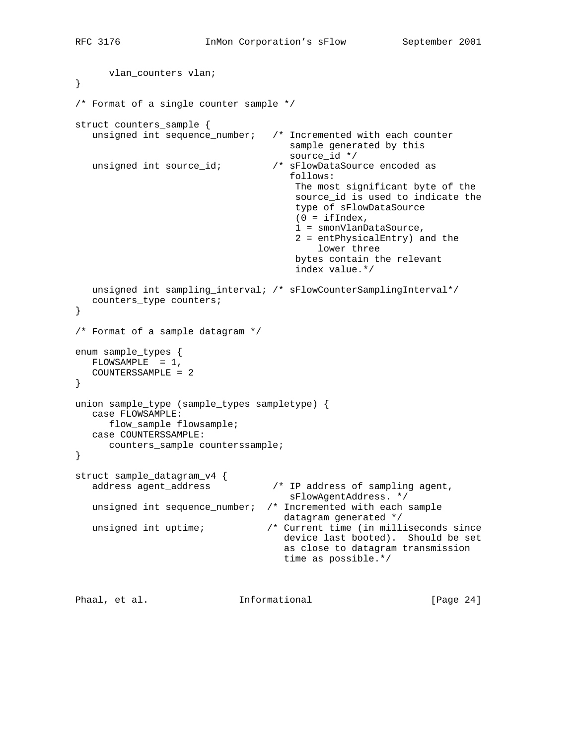```
 vlan_counters vlan;
}
/* Format of a single counter sample */
struct counters_sample {
   unsigned int sequence_number; /* Incremented with each counter
                                        sample generated by this
  /* source_id *<br>unsigned int source_id; <br>/* sFlowDataSour
                                   /* sFlowDataSource encoded as
                                        follows:
                                         The most significant byte of the
                                         source_id is used to indicate the
                                         type of sFlowDataSource
                                        (0 = ifIndex, 1 = smonVlanDataSource,
                                         2 = entPhysicalEntry) and the
                                             lower three
                                         bytes contain the relevant
                                         index value.*/
   unsigned int sampling_interval; /* sFlowCounterSamplingInterval*/
   counters_type counters;
}
/* Format of a sample datagram */
enum sample_types {
  FLOWSAMPLE = 1,
   COUNTERSSAMPLE = 2
}
union sample_type (sample_types sampletype) {
   case FLOWSAMPLE:
      flow_sample flowsample;
   case COUNTERSSAMPLE:
      counters_sample counterssample;
}
struct sample_datagram_v4 {
   address agent_address /* IP address of sampling agent,
                                        sFlowAgentAddress. */
   unsigned int sequence_number; /* Incremented with each sample
                                       datagram generated */
  unsigned int uptime; \overline{\phantom{a}} /* Current time (in milliseconds since
                                       device last booted). Should be set
                                       as close to datagram transmission
                                       time as possible.*/
```
Phaal, et al. **Informational** [Page 24]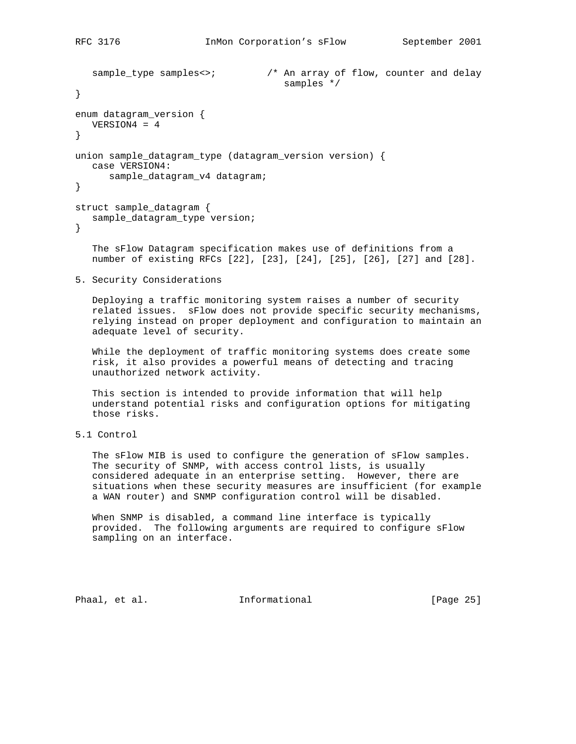```
sample_type samples<>; \overline{\phantom{a}} /* An array of flow, counter and delay
                                          samples */
}
enum datagram_version {
   VERSION4 = 4
}
union sample_datagram_type (datagram_version version) {
   case VERSION4:
```

```
 sample_datagram_v4 datagram;
```

```
struct sample_datagram {
   sample_datagram_type version;
}
```
 The sFlow Datagram specification makes use of definitions from a number of existing RFCs [22], [23], [24], [25], [26], [27] and [28].

5. Security Considerations

 Deploying a traffic monitoring system raises a number of security related issues. sFlow does not provide specific security mechanisms, relying instead on proper deployment and configuration to maintain an adequate level of security.

 While the deployment of traffic monitoring systems does create some risk, it also provides a powerful means of detecting and tracing unauthorized network activity.

 This section is intended to provide information that will help understand potential risks and configuration options for mitigating those risks.

5.1 Control

 The sFlow MIB is used to configure the generation of sFlow samples. The security of SNMP, with access control lists, is usually considered adequate in an enterprise setting. However, there are situations when these security measures are insufficient (for example a WAN router) and SNMP configuration control will be disabled.

 When SNMP is disabled, a command line interface is typically provided. The following arguments are required to configure sFlow sampling on an interface.

Phaal, et al. 10. Informational 1. [Page 25]

}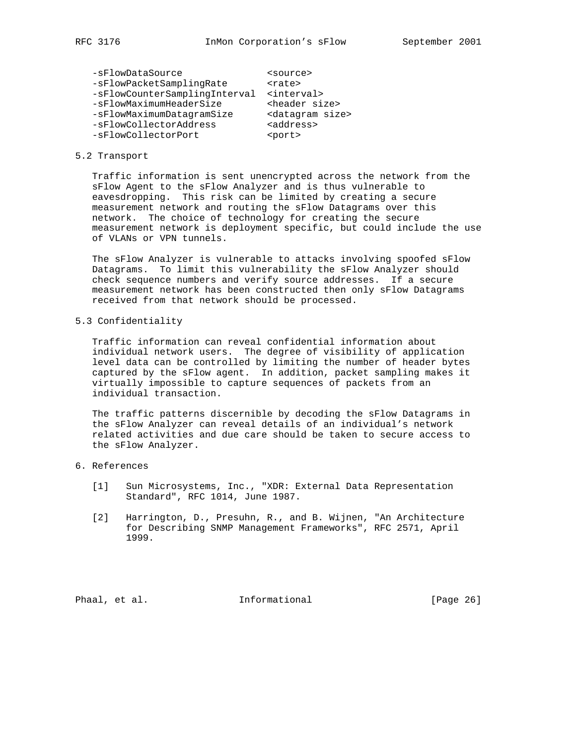| <source/>                     |
|-------------------------------|
| <rate></rate>                 |
| <interval></interval>         |
| <header size=""></header>     |
| <datagram size=""></datagram> |
| <address></address>           |
| <port></port>                 |
|                               |

#### 5.2 Transport

 Traffic information is sent unencrypted across the network from the sFlow Agent to the sFlow Analyzer and is thus vulnerable to eavesdropping. This risk can be limited by creating a secure measurement network and routing the sFlow Datagrams over this network. The choice of technology for creating the secure measurement network is deployment specific, but could include the use of VLANs or VPN tunnels.

 The sFlow Analyzer is vulnerable to attacks involving spoofed sFlow Datagrams. To limit this vulnerability the sFlow Analyzer should check sequence numbers and verify source addresses. If a secure measurement network has been constructed then only sFlow Datagrams received from that network should be processed.

5.3 Confidentiality

 Traffic information can reveal confidential information about individual network users. The degree of visibility of application level data can be controlled by limiting the number of header bytes captured by the sFlow agent. In addition, packet sampling makes it virtually impossible to capture sequences of packets from an individual transaction.

 The traffic patterns discernible by decoding the sFlow Datagrams in the sFlow Analyzer can reveal details of an individual's network related activities and due care should be taken to secure access to the sFlow Analyzer.

### 6. References

- [1] Sun Microsystems, Inc., "XDR: External Data Representation Standard", RFC 1014, June 1987.
- [2] Harrington, D., Presuhn, R., and B. Wijnen, "An Architecture for Describing SNMP Management Frameworks", RFC 2571, April 1999.

Phaal, et al. 10. Informational 1. [Page 26]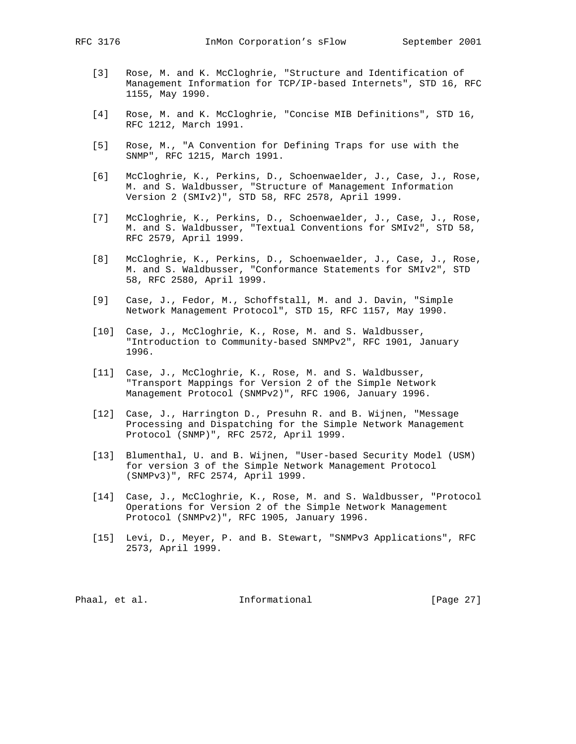- [3] Rose, M. and K. McCloghrie, "Structure and Identification of Management Information for TCP/IP-based Internets", STD 16, RFC 1155, May 1990.
- [4] Rose, M. and K. McCloghrie, "Concise MIB Definitions", STD 16, RFC 1212, March 1991.
- [5] Rose, M., "A Convention for Defining Traps for use with the SNMP", RFC 1215, March 1991.
- [6] McCloghrie, K., Perkins, D., Schoenwaelder, J., Case, J., Rose, M. and S. Waldbusser, "Structure of Management Information Version 2 (SMIv2)", STD 58, RFC 2578, April 1999.
- [7] McCloghrie, K., Perkins, D., Schoenwaelder, J., Case, J., Rose, M. and S. Waldbusser, "Textual Conventions for SMIv2", STD 58, RFC 2579, April 1999.
- [8] McCloghrie, K., Perkins, D., Schoenwaelder, J., Case, J., Rose, M. and S. Waldbusser, "Conformance Statements for SMIv2", STD 58, RFC 2580, April 1999.
- [9] Case, J., Fedor, M., Schoffstall, M. and J. Davin, "Simple Network Management Protocol", STD 15, RFC 1157, May 1990.
- [10] Case, J., McCloghrie, K., Rose, M. and S. Waldbusser, "Introduction to Community-based SNMPv2", RFC 1901, January 1996.
- [11] Case, J., McCloghrie, K., Rose, M. and S. Waldbusser, "Transport Mappings for Version 2 of the Simple Network Management Protocol (SNMPv2)", RFC 1906, January 1996.
- [12] Case, J., Harrington D., Presuhn R. and B. Wijnen, "Message Processing and Dispatching for the Simple Network Management Protocol (SNMP)", RFC 2572, April 1999.
- [13] Blumenthal, U. and B. Wijnen, "User-based Security Model (USM) for version 3 of the Simple Network Management Protocol (SNMPv3)", RFC 2574, April 1999.
- [14] Case, J., McCloghrie, K., Rose, M. and S. Waldbusser, "Protocol Operations for Version 2 of the Simple Network Management Protocol (SNMPv2)", RFC 1905, January 1996.
- [15] Levi, D., Meyer, P. and B. Stewart, "SNMPv3 Applications", RFC 2573, April 1999.

Phaal, et al. 10 Informational 10 [Page 27]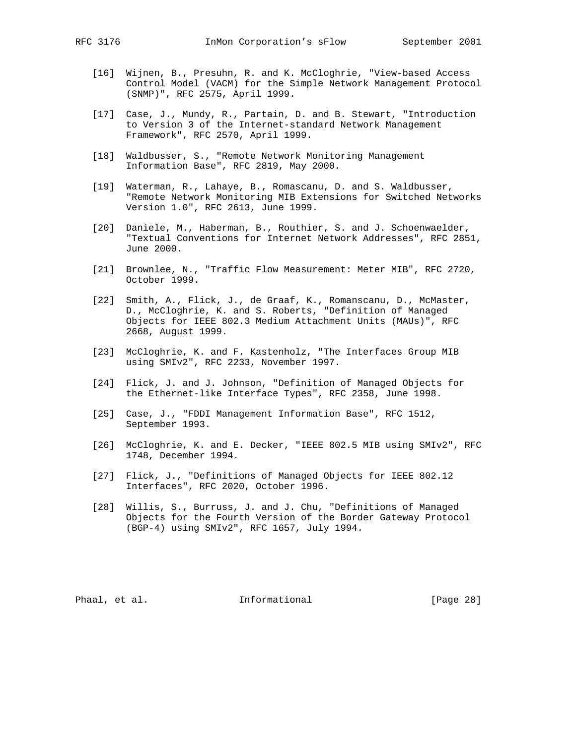- [16] Wijnen, B., Presuhn, R. and K. McCloghrie, "View-based Access Control Model (VACM) for the Simple Network Management Protocol (SNMP)", RFC 2575, April 1999.
- [17] Case, J., Mundy, R., Partain, D. and B. Stewart, "Introduction to Version 3 of the Internet-standard Network Management Framework", RFC 2570, April 1999.
- [18] Waldbusser, S., "Remote Network Monitoring Management Information Base", RFC 2819, May 2000.
- [19] Waterman, R., Lahaye, B., Romascanu, D. and S. Waldbusser, "Remote Network Monitoring MIB Extensions for Switched Networks Version 1.0", RFC 2613, June 1999.
- [20] Daniele, M., Haberman, B., Routhier, S. and J. Schoenwaelder, "Textual Conventions for Internet Network Addresses", RFC 2851, June 2000.
- [21] Brownlee, N., "Traffic Flow Measurement: Meter MIB", RFC 2720, October 1999.
- [22] Smith, A., Flick, J., de Graaf, K., Romanscanu, D., McMaster, D., McCloghrie, K. and S. Roberts, "Definition of Managed Objects for IEEE 802.3 Medium Attachment Units (MAUs)", RFC 2668, August 1999.
- [23] McCloghrie, K. and F. Kastenholz, "The Interfaces Group MIB using SMIv2", RFC 2233, November 1997.
- [24] Flick, J. and J. Johnson, "Definition of Managed Objects for the Ethernet-like Interface Types", RFC 2358, June 1998.
- [25] Case, J., "FDDI Management Information Base", RFC 1512, September 1993.
- [26] McCloghrie, K. and E. Decker, "IEEE 802.5 MIB using SMIv2", RFC 1748, December 1994.
- [27] Flick, J., "Definitions of Managed Objects for IEEE 802.12 Interfaces", RFC 2020, October 1996.
- [28] Willis, S., Burruss, J. and J. Chu, "Definitions of Managed Objects for the Fourth Version of the Border Gateway Protocol (BGP-4) using SMIv2", RFC 1657, July 1994.

Phaal, et al. 10. Informational 1. [Page 28]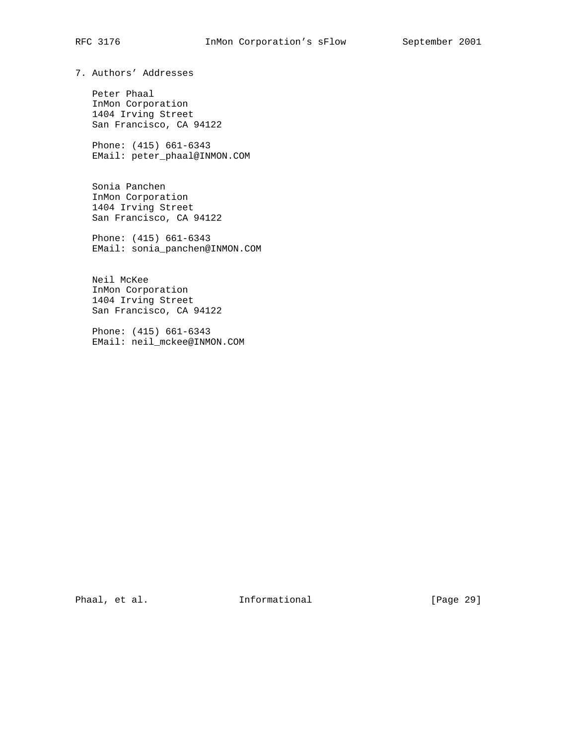# RFC 3176 InMon Corporation's sFlow September 2001

7. Authors' Addresses

 Peter Phaal InMon Corporation 1404 Irving Street San Francisco, CA 94122

 Phone: (415) 661-6343 EMail: peter\_phaal@INMON.COM

 Sonia Panchen InMon Corporation 1404 Irving Street San Francisco, CA 94122

 Phone: (415) 661-6343 EMail: sonia\_panchen@INMON.COM

 Neil McKee InMon Corporation 1404 Irving Street San Francisco, CA 94122

 Phone: (415) 661-6343 EMail: neil\_mckee@INMON.COM

Phaal, et al. 10. Informational 1. [Page 29]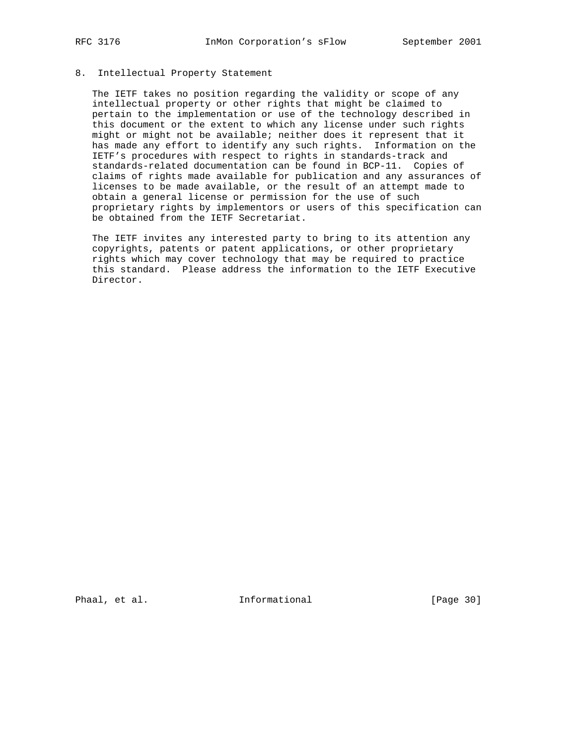### 8. Intellectual Property Statement

 The IETF takes no position regarding the validity or scope of any intellectual property or other rights that might be claimed to pertain to the implementation or use of the technology described in this document or the extent to which any license under such rights might or might not be available; neither does it represent that it has made any effort to identify any such rights. Information on the IETF's procedures with respect to rights in standards-track and standards-related documentation can be found in BCP-11. Copies of claims of rights made available for publication and any assurances of licenses to be made available, or the result of an attempt made to obtain a general license or permission for the use of such proprietary rights by implementors or users of this specification can be obtained from the IETF Secretariat.

 The IETF invites any interested party to bring to its attention any copyrights, patents or patent applications, or other proprietary rights which may cover technology that may be required to practice this standard. Please address the information to the IETF Executive Director.